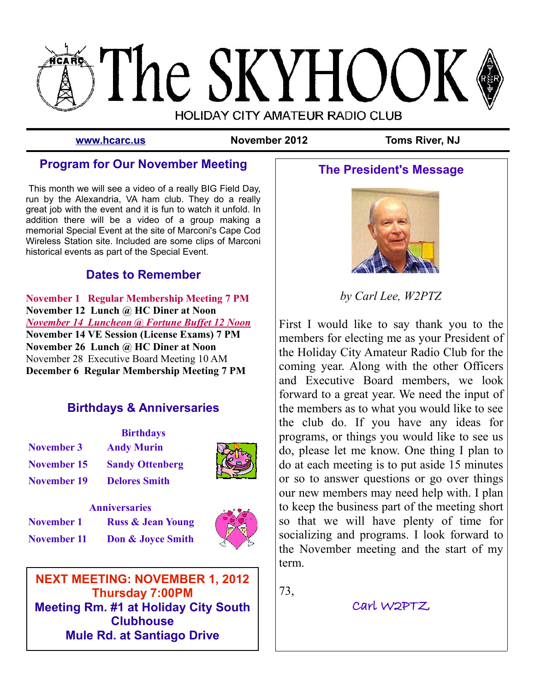

**[www.hcarc.us](http://Www.hcarc.us/) November 2012 Toms River, NJ**

## **Program for Our November Meeting**

This month we will see a video of a really BIG Field Day, run by the Alexandria, VA ham club. They do a really great job with the event and it is fun to watch it unfold. In addition there will be a video of a group making a memorial Special Event at the site of Marconi's Cape Cod Wireless Station site. Included are some clips of Marconi historical events as part of the Special Event.

## **Dates to Remember**

**November 1 Regular Membership Meeting 7 PM November 12 Lunch @ HC Diner at Noon**  *November 14 Luncheon @ Fortune Buffet 12 Noon* **November 14 VE Session (License Exams) 7 PM November 26 Lunch @ HC Diner at Noon** November 28 Executive Board Meeting 10 AM **December 6 Regular Membership Meeting 7 PM**

## **Birthdays & Anniversaries**

|                    | <b>Birthdays</b>       |  |
|--------------------|------------------------|--|
| November 3         | <b>Andy Murin</b>      |  |
| November 15        | <b>Sandy Ottenberg</b> |  |
| <b>November 19</b> | <b>Delores Smith</b>   |  |



| <b>Anniversaries</b> |                                          |  |
|----------------------|------------------------------------------|--|
| <b>November 1</b>    | <b>Russ &amp; Jean Young</b>             |  |
|                      | <b>November 11 Don &amp; Joyce Smith</b> |  |



**NEXT MEETING: NOVEMBER 1, 2012 Thursday 7:00PM Meeting Rm. #1 at Holiday City South Clubhouse Mule Rd. at Santiago Drive**

# **The President's Message**



*by Carl Lee, W2PTZ*

First I would like to say thank you to the members for electing me as your President of the Holiday City Amateur Radio Club for the coming year. Along with the other Officers and Executive Board members, we look forward to a great year. We need the input of the members as to what you would like to see the club do. If you have any ideas for programs, or things you would like to see us do, please let me know. One thing I plan to do at each meeting is to put aside 15 minutes or so to answer questions or go over things our new members may need help with. I plan to keep the business part of the meeting short so that we will have plenty of time for socializing and programs. I look forward to the November meeting and the start of my term.

73,

Carl W2PTZ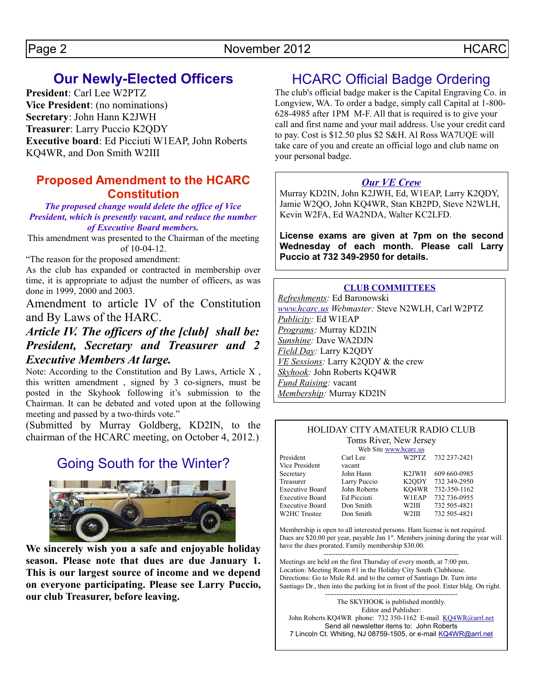# **Our Newly-Elected Officers**

**President**: Carl Lee W2PTZ **Vice President**: (no nominations) **Secretary**: John Hann K2JWH **Treasurer**: Larry Puccio K2QDY **Executive board**: Ed Picciuti W1EAP, John Roberts KQ4WR, and Don Smith W2III

## **Proposed Amendment to the HCARC Constitution**

*The proposed change would delete the office of Vice President, which is presently vacant, and reduce the number of Executive Board members.*

This amendment was presented to the Chairman of the meeting of 10-04-12.

"The reason for the proposed amendment:

As the club has expanded or contracted in membership over time, it is appropriate to adjust the number of officers, as was done in 1999, 2000 and 2003.

Amendment to article IV of the Constitution and By Laws of the HARC.

## *Article IV. The officers of the [club] shall be: President, Secretary and Treasurer and 2 Executive Members At large.*

Note: According to the Constitution and By Laws, Article X , this written amendment , signed by 3 co-signers, must be posted in the Skyhook following it's submission to the Chairman. It can be debated and voted upon at the following meeting and passed by a two-thirds vote."

(Submitted by Murray Goldberg, KD2IN, to the chairman of the HCARC meeting, on October 4, 2012.)

# Going South for the Winter?



**We sincerely wish you a safe and enjoyable holiday season. Please note that dues are due January 1. This is our largest source of income and we depend on everyone participating. Please see Larry Puccio, our club Treasurer, before leaving.**

# HCARC Official Badge Ordering

The club's official badge maker is the Capital Engraving Co. in Longview, WA. To order a badge, simply call Capital at 1-800- 628-4985 after 1PM M-F. All that is required is to give your call and first name and your mail address. Use your credit card to pay. Cost is \$12.50 plus \$2 S&H. Al Ross WA7UQE will take care of you and create an official logo and club name on your personal badge.

### *Our VE Crew*

Murray KD2IN, John K2JWH, Ed, W1EAP, Larry K2QDY, Jamie W2QO, John KQ4WR, Stan KB2PD, Steve N2WLH, Kevin W2FA, Ed WA2NDA, Walter KC2LFD.

**License exams are given at 7pm on the second Wednesday of each month. Please call Larry Puccio at 732 349-2950 for details.**

#### **CLUB COMMITTEES**

*Refreshments:* Ed Baronowski *[www.hcarc.us](http://www.hcarc.us/) Webmaster:* Steve N2WLH, Carl W2PTZ *Publicity:* Ed W1EAP *Programs:* Murray KD2IN *Sunshine:* Dave WA2DJN *Field Day:* Larry K2QDY *VE Sessions:* Larry K2QDY & the crew *Skyhook:* John Roberts KQ4WR *Fund Raising:* vacant *Membership:* Murray KD2IN

#### HOLIDAY CITY AMATEUR RADIO CLUB Toms River, New Jersey

| Web Site www.hcarc.us |                    |              |  |
|-----------------------|--------------------|--------------|--|
| Carl Lee              | W2PTZ              | 732 237-2421 |  |
| vacant                |                    |              |  |
| John Hann             | K <sub>2</sub> JWH | 609 660-0985 |  |
| Larry Puccio          | K <sub>2</sub> ODY | 732 349-2950 |  |
| John Roberts          | KQ4WR              | 732-350-1162 |  |
| Ed Picciuti           | W1EAP              | 732 736-0955 |  |
| Don Smith             | W <sub>2III</sub>  | 732 505-4821 |  |
| Don Smith             | W <sub>2III</sub>  | 732 505-4821 |  |
|                       |                    |              |  |

Membership is open to all interested persons. Ham license is not required. Dues are \$20.00 per year, payable Jan 1<sup>st</sup>. Members joining during the year will have the dues prorated. Family membership \$30.00.

---------------------------------------------------------- Meetings are held on the first Thursday of every month, at 7:00 pm. Location: Meeting Room #1 in the Holiday City South Clubhouse. Directions: Go to Mule Rd. and to the corner of Santiago Dr. Turn into Santiago Dr., then into the parking lot in front of the pool. Enter bldg. On right.

--------------------------------------------------------- The SKYHOOK is published monthly. Editor and Publisher: John Roberts KQ4WR phone: 732 350-1162 E-mail [KQ4WR@arrl.net](mailto:KQ4WR@arrl.net) Send all newsletter items to: John Roberts 7 Lincoln Ct. Whiting, NJ 08759-1505, or e-mail [KQ4WR@arrl.net](mailto:KQ4WR@arrl.net)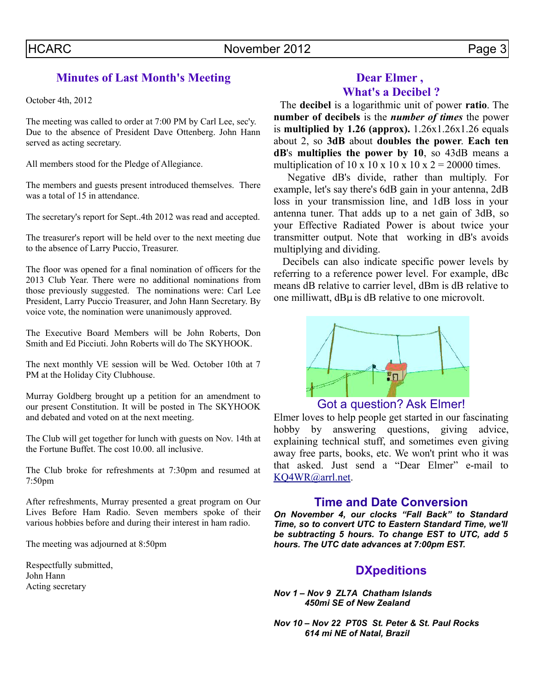## **Minutes of Last Month's Meeting**

October 4th, 2012

The meeting was called to order at 7:00 PM by Carl Lee, sec'y. Due to the absence of President Dave Ottenberg. John Hann served as acting secretary.

All members stood for the Pledge of Allegiance.

The members and guests present introduced themselves. There was a total of 15 in attendance.

The secretary's report for Sept..4th 2012 was read and accepted.

The treasurer's report will be held over to the next meeting due to the absence of Larry Puccio, Treasurer.

The floor was opened for a final nomination of officers for the 2013 Club Year. There were no additional nominations from those previously suggested. The nominations were: Carl Lee President, Larry Puccio Treasurer, and John Hann Secretary. By voice vote, the nomination were unanimously approved.

The Executive Board Members will be John Roberts, Don Smith and Ed Picciuti. John Roberts will do The SKYHOOK.

The next monthly VE session will be Wed. October 10th at 7 PM at the Holiday City Clubhouse.

Murray Goldberg brought up a petition for an amendment to our present Constitution. It will be posted in The SKYHOOK and debated and voted on at the next meeting.

The Club will get together for lunch with guests on Nov. 14th at the Fortune Buffet. The cost 10.00. all inclusive.

The Club broke for refreshments at 7:30pm and resumed at 7:50pm

After refreshments, Murray presented a great program on Our Lives Before Ham Radio. Seven members spoke of their various hobbies before and during their interest in ham radio.

The meeting was adjourned at 8:50pm

Respectfully submitted, John Hann Acting secretary

## **Dear Elmer , What's a Decibel ?**

 The **decibel** is a logarithmic unit of power **ratio**. The **number of decibels** is the *number of times* the power is **multiplied by 1.26 (approx).** 1.26x1.26x1.26 equals about 2, so **3dB** about **doubles the power**. **Each ten dB**'s **multiplies the power by 10**, so 43dB means a multiplication of 10 x 10 x 10 x 10 x 2 = 20000 times.

 Negative dB's divide, rather than multiply. For example, let's say there's 6dB gain in your antenna, 2dB loss in your transmission line, and 1dB loss in your antenna tuner. That adds up to a net gain of 3dB, so your Effective Radiated Power is about twice your transmitter output. Note that working in dB's avoids multiplying and dividing.

 Decibels can also indicate specific power levels by referring to a reference power level. For example, dBc means dB relative to carrier level, dBm is dB relative to one milliwatt, dBµ is dB relative to one microvolt.



## Got a question? Ask Elmer!

Elmer loves to help people get started in our fascinating hobby by answering questions, giving advice, explaining technical stuff, and sometimes even giving away free parts, books, etc. We won't print who it was that asked. Just send a "Dear Elmer" e-mail to [KQ4WR@arrl.net.](mailto:KQ4WR@arrl.net)

#### **Time and Date Conversion**

*On November 4, our clocks "Fall Back" to Standard Time, so to convert UTC to Eastern Standard Time, we'll be subtracting 5 hours. To change EST to UTC, add 5 hours. The UTC date advances at 7:00pm EST.*

### **DXpeditions**

*Nov 1 – Nov 9 ZL7A Chatham Islands 450mi SE of New Zealand*

*Nov 10 – Nov 22 PT0S St. Peter & St. Paul Rocks 614 mi NE of Natal, Brazil*